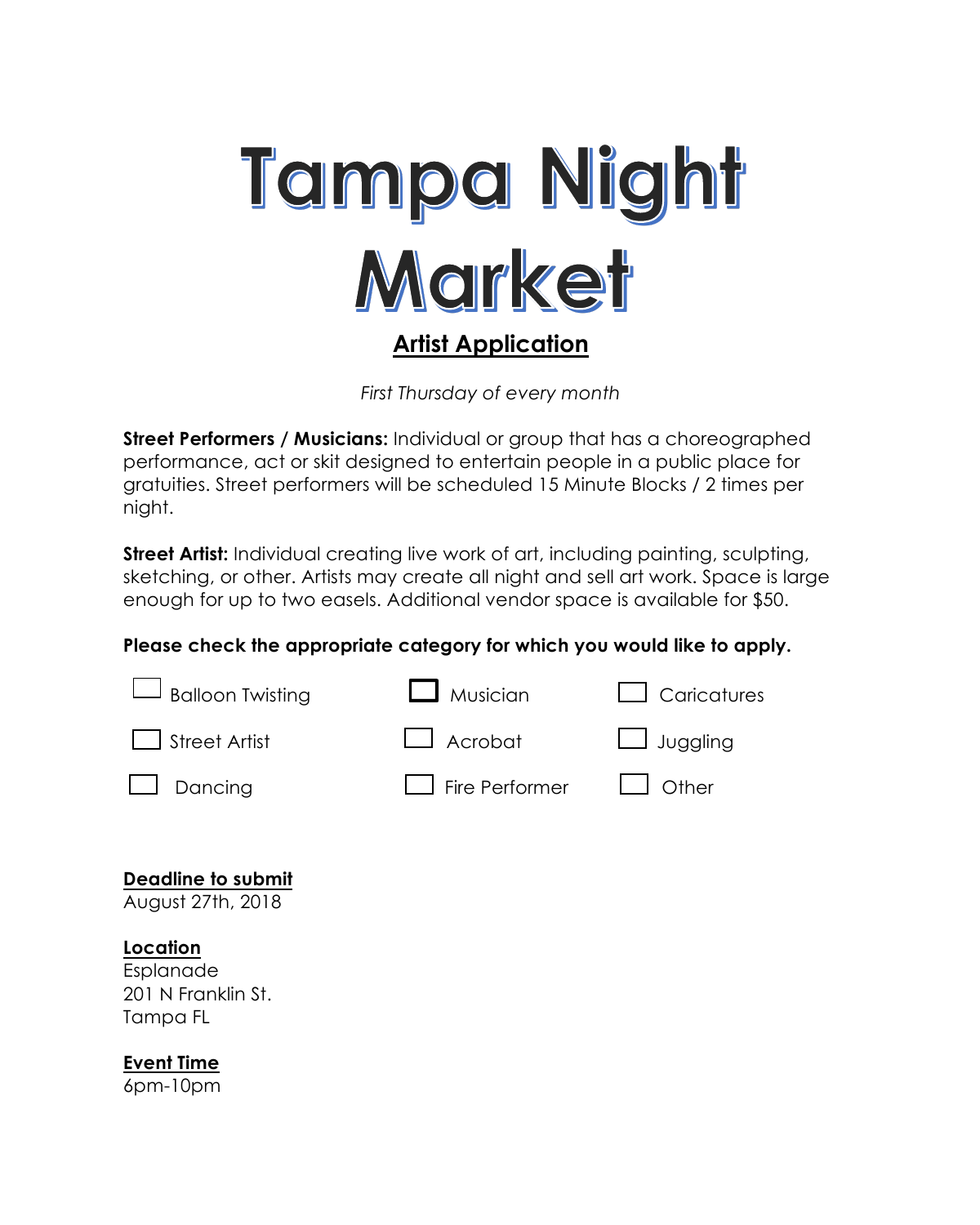

*First Thursday of every month*

**Street Performers / Musicians:** Individual or group that has a choreographed performance, act or skit designed to entertain people in a public place for gratuities. Street performers will be scheduled 15 Minute Blocks / 2 times per night.

**Street Artist:** Individual creating live work of art, including painting, sculpting, sketching, or other. Artists may create all night and sell art work. Space is large enough for up to two easels. Additional vendor space is available for \$50.

# **Please check the appropriate category for which you would like to apply.**



**Deadline to submit** 

August 27th, 2018

# **Location**

Esplanade 201 N Franklin St. Tampa FL

# **Event Time**

6pm-10pm